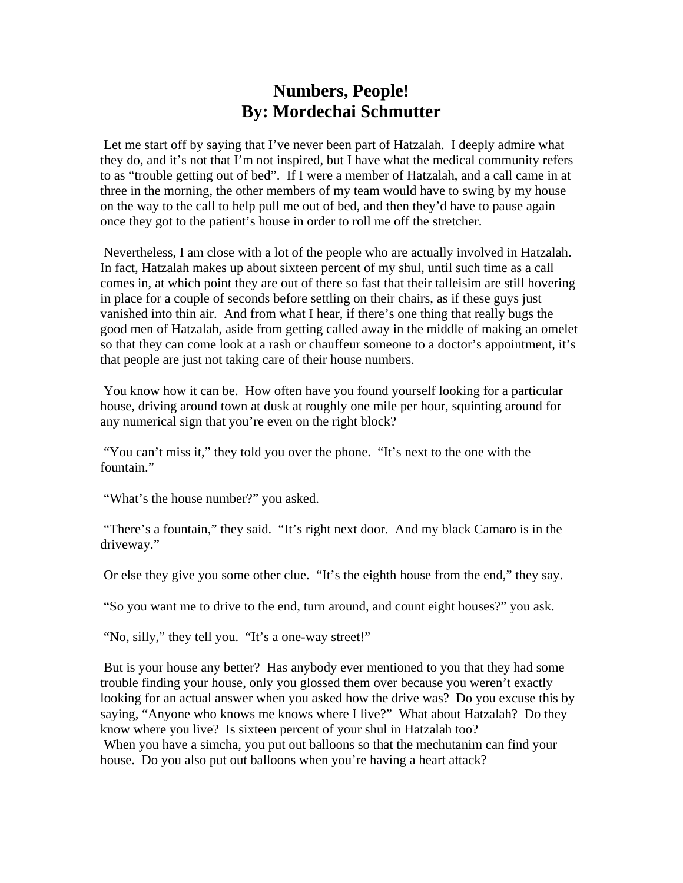## **Numbers, People! By: Mordechai Schmutter**

 Let me start off by saying that I've never been part of Hatzalah. I deeply admire what they do, and it's not that I'm not inspired, but I have what the medical community refers to as "trouble getting out of bed". If I were a member of Hatzalah, and a call came in at three in the morning, the other members of my team would have to swing by my house on the way to the call to help pull me out of bed, and then they'd have to pause again once they got to the patient's house in order to roll me off the stretcher.

 Nevertheless, I am close with a lot of the people who are actually involved in Hatzalah. In fact, Hatzalah makes up about sixteen percent of my shul, until such time as a call comes in, at which point they are out of there so fast that their talleisim are still hovering in place for a couple of seconds before settling on their chairs, as if these guys just vanished into thin air. And from what I hear, if there's one thing that really bugs the good men of Hatzalah, aside from getting called away in the middle of making an omelet so that they can come look at a rash or chauffeur someone to a doctor's appointment, it's that people are just not taking care of their house numbers.

 You know how it can be. How often have you found yourself looking for a particular house, driving around town at dusk at roughly one mile per hour, squinting around for any numerical sign that you're even on the right block?

 "You can't miss it," they told you over the phone. "It's next to the one with the fountain."

"What's the house number?" you asked.

 "There's a fountain," they said. "It's right next door. And my black Camaro is in the driveway."

Or else they give you some other clue. "It's the eighth house from the end," they say.

"So you want me to drive to the end, turn around, and count eight houses?" you ask.

"No, silly," they tell you. "It's a one-way street!"

 But is your house any better? Has anybody ever mentioned to you that they had some trouble finding your house, only you glossed them over because you weren't exactly looking for an actual answer when you asked how the drive was? Do you excuse this by saying, "Anyone who knows me knows where I live?" What about Hatzalah? Do they know where you live? Is sixteen percent of your shul in Hatzalah too? When you have a simcha, you put out balloons so that the mechutanim can find your house. Do you also put out balloons when you're having a heart attack?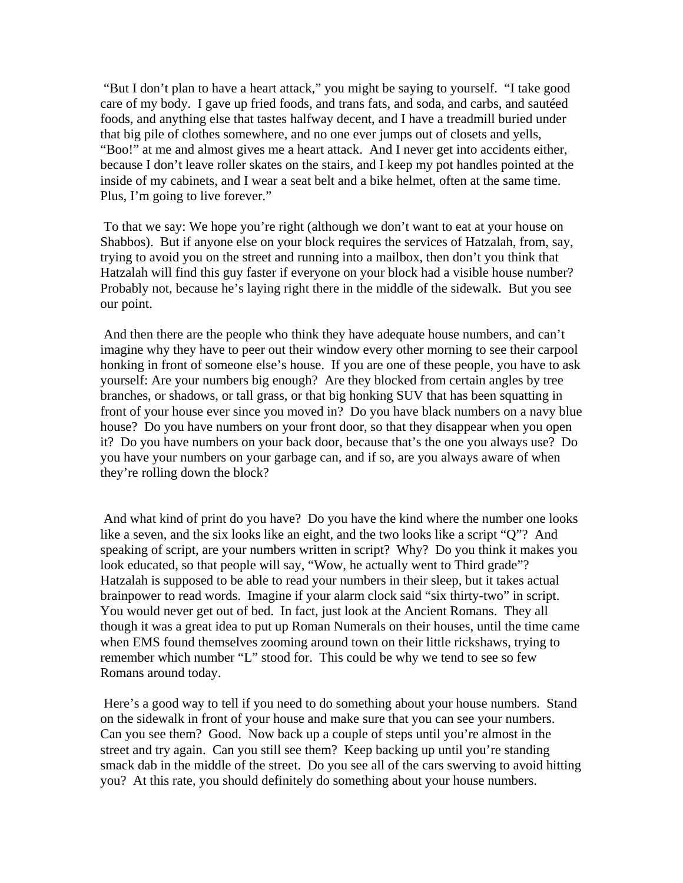"But I don't plan to have a heart attack," you might be saying to yourself. "I take good care of my body. I gave up fried foods, and trans fats, and soda, and carbs, and sautéed foods, and anything else that tastes halfway decent, and I have a treadmill buried under that big pile of clothes somewhere, and no one ever jumps out of closets and yells, "Boo!" at me and almost gives me a heart attack. And I never get into accidents either, because I don't leave roller skates on the stairs, and I keep my pot handles pointed at the inside of my cabinets, and I wear a seat belt and a bike helmet, often at the same time. Plus, I'm going to live forever."

 To that we say: We hope you're right (although we don't want to eat at your house on Shabbos). But if anyone else on your block requires the services of Hatzalah, from, say, trying to avoid you on the street and running into a mailbox, then don't you think that Hatzalah will find this guy faster if everyone on your block had a visible house number? Probably not, because he's laying right there in the middle of the sidewalk. But you see our point.

 And then there are the people who think they have adequate house numbers, and can't imagine why they have to peer out their window every other morning to see their carpool honking in front of someone else's house. If you are one of these people, you have to ask yourself: Are your numbers big enough? Are they blocked from certain angles by tree branches, or shadows, or tall grass, or that big honking SUV that has been squatting in front of your house ever since you moved in? Do you have black numbers on a navy blue house? Do you have numbers on your front door, so that they disappear when you open it? Do you have numbers on your back door, because that's the one you always use? Do you have your numbers on your garbage can, and if so, are you always aware of when they're rolling down the block?

 And what kind of print do you have? Do you have the kind where the number one looks like a seven, and the six looks like an eight, and the two looks like a script "Q"? And speaking of script, are your numbers written in script? Why? Do you think it makes you look educated, so that people will say, "Wow, he actually went to Third grade"? Hatzalah is supposed to be able to read your numbers in their sleep, but it takes actual brainpower to read words. Imagine if your alarm clock said "six thirty-two" in script. You would never get out of bed. In fact, just look at the Ancient Romans. They all though it was a great idea to put up Roman Numerals on their houses, until the time came when EMS found themselves zooming around town on their little rickshaws, trying to remember which number "L" stood for. This could be why we tend to see so few Romans around today.

 Here's a good way to tell if you need to do something about your house numbers. Stand on the sidewalk in front of your house and make sure that you can see your numbers. Can you see them? Good. Now back up a couple of steps until you're almost in the street and try again. Can you still see them? Keep backing up until you're standing smack dab in the middle of the street. Do you see all of the cars swerving to avoid hitting you? At this rate, you should definitely do something about your house numbers.